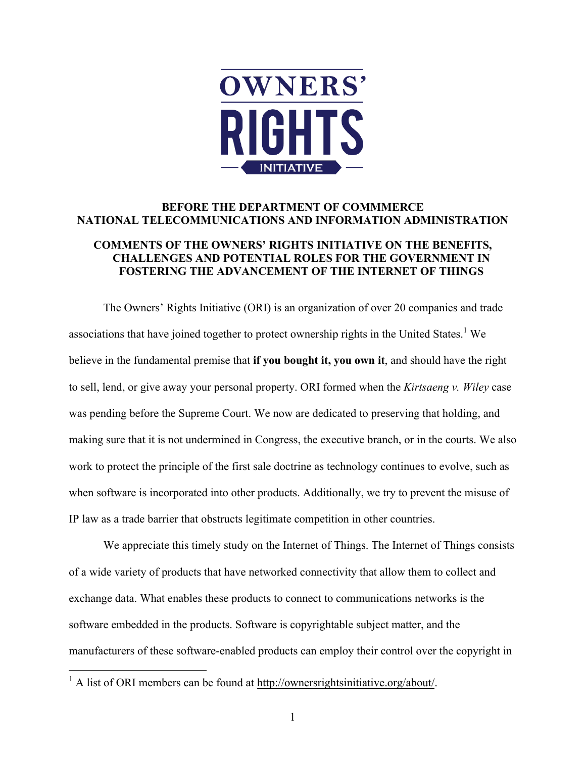

# **BEFORE THE DEPARTMENT OF COMMMERCE NATIONAL TELECOMMUNICATIONS AND INFORMATION ADMINISTRATION**

## **COMMENTS OF THE OWNERS' RIGHTS INITIATIVE ON THE BENEFITS, CHALLENGES AND POTENTIAL ROLES FOR THE GOVERNMENT IN FOSTERING THE ADVANCEMENT OF THE INTERNET OF THINGS**

The Owners' Rights Initiative (ORI) is an organization of over 20 companies and trade associations that have joined together to protect ownership rights in the United States.<sup>1</sup> We believe in the fundamental premise that **if you bought it, you own it**, and should have the right to sell, lend, or give away your personal property. ORI formed when the *Kirtsaeng v. Wiley* case was pending before the Supreme Court. We now are dedicated to preserving that holding, and making sure that it is not undermined in Congress, the executive branch, or in the courts. We also work to protect the principle of the first sale doctrine as technology continues to evolve, such as when software is incorporated into other products. Additionally, we try to prevent the misuse of IP law as a trade barrier that obstructs legitimate competition in other countries.

We appreciate this timely study on the Internet of Things. The Internet of Things consists of a wide variety of products that have networked connectivity that allow them to collect and exchange data. What enables these products to connect to communications networks is the software embedded in the products. Software is copyrightable subject matter, and the manufacturers of these software-enabled products can employ their control over the copyright in

 $1$  A list of ORI members can be found at http://ownersrightsinitiative.org/about/.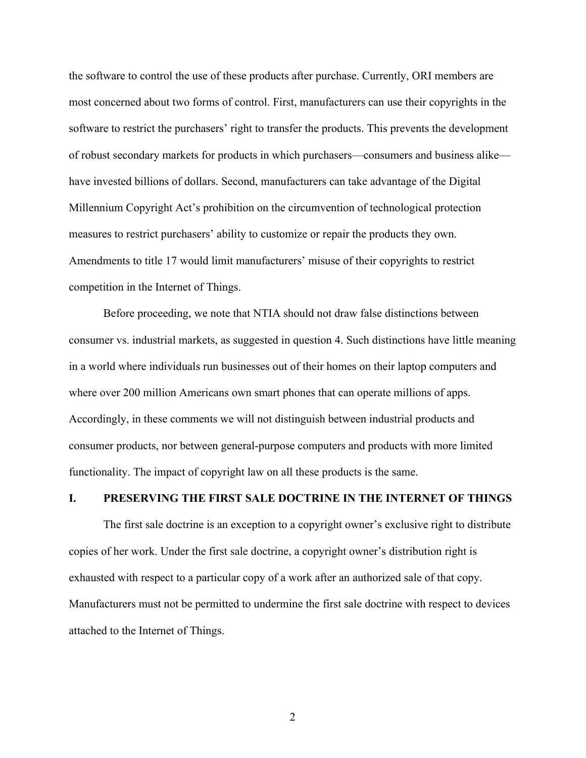the software to control the use of these products after purchase. Currently, ORI members are most concerned about two forms of control. First, manufacturers can use their copyrights in the software to restrict the purchasers' right to transfer the products. This prevents the development of robust secondary markets for products in which purchasers—consumers and business alike have invested billions of dollars. Second, manufacturers can take advantage of the Digital Millennium Copyright Act's prohibition on the circumvention of technological protection measures to restrict purchasers' ability to customize or repair the products they own. Amendments to title 17 would limit manufacturers' misuse of their copyrights to restrict competition in the Internet of Things.

Before proceeding, we note that NTIA should not draw false distinctions between consumer vs. industrial markets, as suggested in question 4. Such distinctions have little meaning in a world where individuals run businesses out of their homes on their laptop computers and where over 200 million Americans own smart phones that can operate millions of apps. Accordingly, in these comments we will not distinguish between industrial products and consumer products, nor between general-purpose computers and products with more limited functionality. The impact of copyright law on all these products is the same.

# **I. PRESERVING THE FIRST SALE DOCTRINE IN THE INTERNET OF THINGS**

The first sale doctrine is an exception to a copyright owner's exclusive right to distribute copies of her work. Under the first sale doctrine, a copyright owner's distribution right is exhausted with respect to a particular copy of a work after an authorized sale of that copy. Manufacturers must not be permitted to undermine the first sale doctrine with respect to devices attached to the Internet of Things.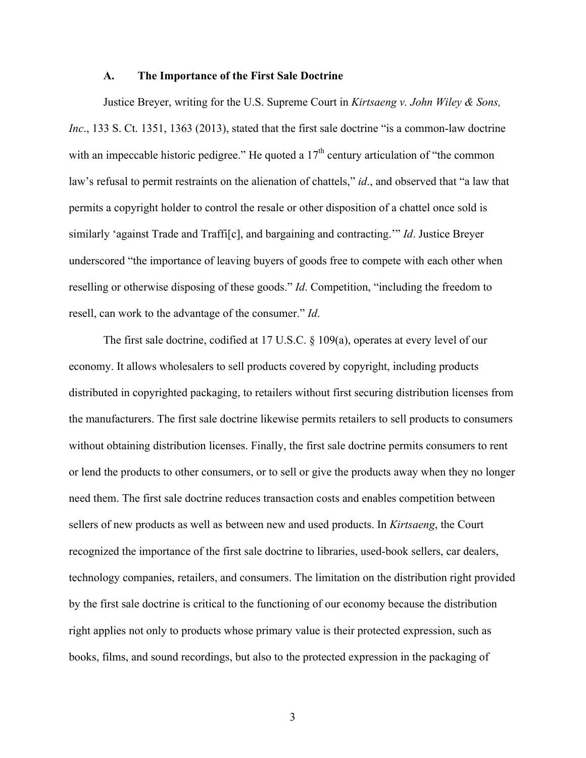#### **A. The Importance of the First Sale Doctrine**

Justice Breyer, writing for the U.S. Supreme Court in *Kirtsaeng v. John Wiley & Sons, Inc*., 133 S. Ct. 1351, 1363 (2013), stated that the first sale doctrine "is a common-law doctrine with an impeccable historic pedigree." He quoted a  $17<sup>th</sup>$  century articulation of "the common law's refusal to permit restraints on the alienation of chattels," *id*., and observed that "a law that permits a copyright holder to control the resale or other disposition of a chattel once sold is similarly 'against Trade and Traffi[c], and bargaining and contracting.'" *Id*. Justice Breyer underscored "the importance of leaving buyers of goods free to compete with each other when reselling or otherwise disposing of these goods." *Id*. Competition, "including the freedom to resell, can work to the advantage of the consumer." *Id*.

The first sale doctrine, codified at 17 U.S.C. § 109(a), operates at every level of our economy. It allows wholesalers to sell products covered by copyright, including products distributed in copyrighted packaging, to retailers without first securing distribution licenses from the manufacturers. The first sale doctrine likewise permits retailers to sell products to consumers without obtaining distribution licenses. Finally, the first sale doctrine permits consumers to rent or lend the products to other consumers, or to sell or give the products away when they no longer need them. The first sale doctrine reduces transaction costs and enables competition between sellers of new products as well as between new and used products. In *Kirtsaeng*, the Court recognized the importance of the first sale doctrine to libraries, used-book sellers, car dealers, technology companies, retailers, and consumers. The limitation on the distribution right provided by the first sale doctrine is critical to the functioning of our economy because the distribution right applies not only to products whose primary value is their protected expression, such as books, films, and sound recordings, but also to the protected expression in the packaging of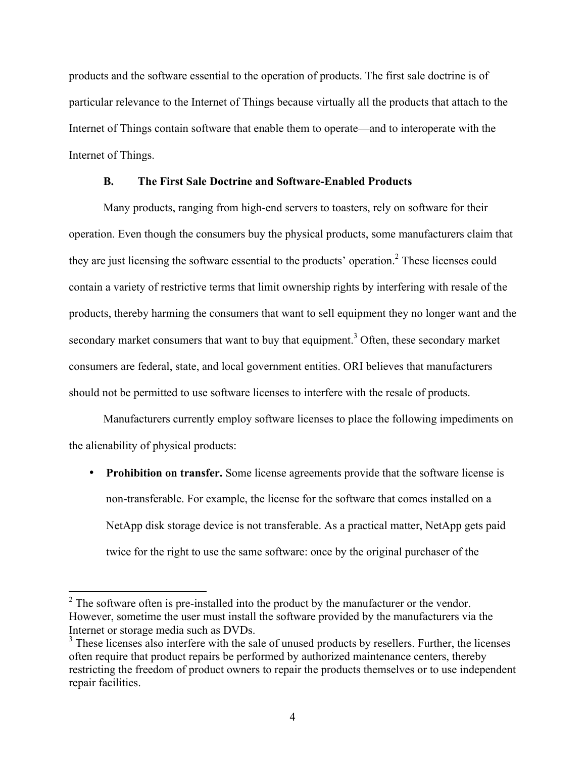products and the software essential to the operation of products. The first sale doctrine is of particular relevance to the Internet of Things because virtually all the products that attach to the Internet of Things contain software that enable them to operate—and to interoperate with the Internet of Things.

## **B. The First Sale Doctrine and Software-Enabled Products**

Many products, ranging from high-end servers to toasters, rely on software for their operation. Even though the consumers buy the physical products, some manufacturers claim that they are just licensing the software essential to the products' operation.<sup>2</sup> These licenses could contain a variety of restrictive terms that limit ownership rights by interfering with resale of the products, thereby harming the consumers that want to sell equipment they no longer want and the secondary market consumers that want to buy that equipment.<sup>3</sup> Often, these secondary market consumers are federal, state, and local government entities. ORI believes that manufacturers should not be permitted to use software licenses to interfere with the resale of products.

Manufacturers currently employ software licenses to place the following impediments on the alienability of physical products:

• **Prohibition on transfer.** Some license agreements provide that the software license is non-transferable. For example, the license for the software that comes installed on a NetApp disk storage device is not transferable. As a practical matter, NetApp gets paid twice for the right to use the same software: once by the original purchaser of the

 $2^2$  The software often is pre-installed into the product by the manufacturer or the vendor. However, sometime the user must install the software provided by the manufacturers via the Internet or storage media such as DVDs.

<sup>&</sup>lt;sup>3</sup> These licenses also interfere with the sale of unused products by resellers. Further, the licenses often require that product repairs be performed by authorized maintenance centers, thereby restricting the freedom of product owners to repair the products themselves or to use independent repair facilities.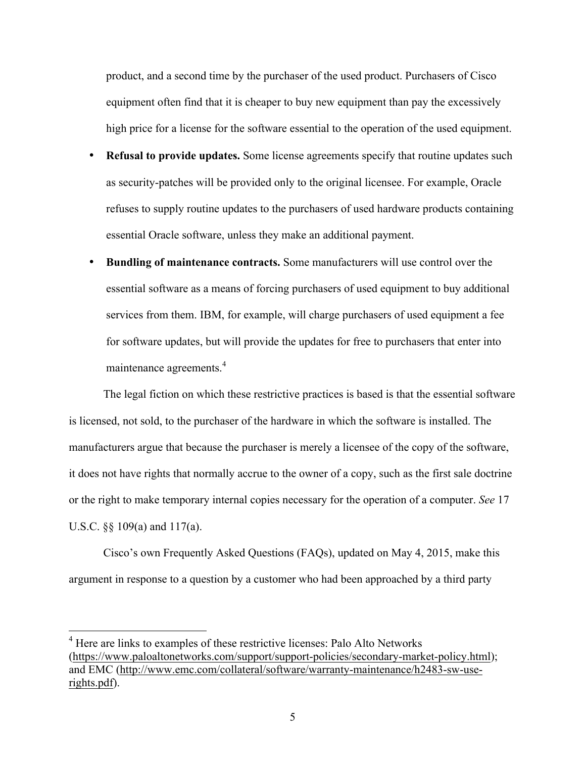product, and a second time by the purchaser of the used product. Purchasers of Cisco equipment often find that it is cheaper to buy new equipment than pay the excessively high price for a license for the software essential to the operation of the used equipment.

- **Refusal to provide updates.** Some license agreements specify that routine updates such as security-patches will be provided only to the original licensee. For example, Oracle refuses to supply routine updates to the purchasers of used hardware products containing essential Oracle software, unless they make an additional payment.
- **Bundling of maintenance contracts.** Some manufacturers will use control over the essential software as a means of forcing purchasers of used equipment to buy additional services from them. IBM, for example, will charge purchasers of used equipment a fee for software updates, but will provide the updates for free to purchasers that enter into maintenance agreements.<sup>4</sup>

The legal fiction on which these restrictive practices is based is that the essential software is licensed, not sold, to the purchaser of the hardware in which the software is installed. The manufacturers argue that because the purchaser is merely a licensee of the copy of the software, it does not have rights that normally accrue to the owner of a copy, such as the first sale doctrine or the right to make temporary internal copies necessary for the operation of a computer. *See* 17 U.S.C. §§ 109(a) and 117(a).

Cisco's own Frequently Asked Questions (FAQs), updated on May 4, 2015, make this argument in response to a question by a customer who had been approached by a third party

<sup>&</sup>lt;sup>4</sup> Here are links to examples of these restrictive licenses: Palo Alto Networks (https://www.paloaltonetworks.com/support/support-policies/secondary-market-policy.html); and EMC (http://www.emc.com/collateral/software/warranty-maintenance/h2483-sw-userights.pdf).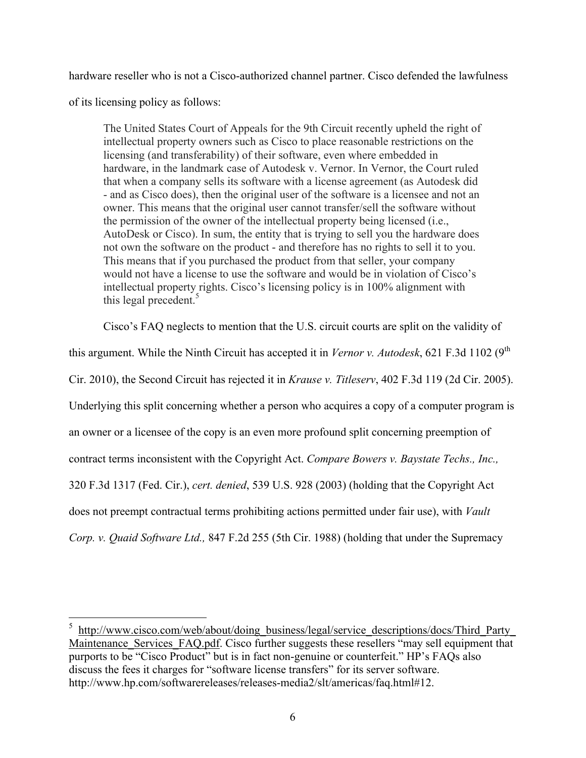hardware reseller who is not a Cisco-authorized channel partner. Cisco defended the lawfulness

of its licensing policy as follows:

The United States Court of Appeals for the 9th Circuit recently upheld the right of intellectual property owners such as Cisco to place reasonable restrictions on the licensing (and transferability) of their software, even where embedded in hardware, in the landmark case of Autodesk v. Vernor. In Vernor, the Court ruled that when a company sells its software with a license agreement (as Autodesk did - and as Cisco does), then the original user of the software is a licensee and not an owner. This means that the original user cannot transfer/sell the software without the permission of the owner of the intellectual property being licensed (i.e., AutoDesk or Cisco). In sum, the entity that is trying to sell you the hardware does not own the software on the product - and therefore has no rights to sell it to you. This means that if you purchased the product from that seller, your company would not have a license to use the software and would be in violation of Cisco's intellectual property rights. Cisco's licensing policy is in 100% alignment with this legal precedent. $5$ 

Cisco's FAQ neglects to mention that the U.S. circuit courts are split on the validity of this argument. While the Ninth Circuit has accepted it in *Vernor v. Autodesk*, 621 F.3d 1102 (9<sup>th</sup>) Cir. 2010), the Second Circuit has rejected it in *Krause v. Titleserv*, 402 F.3d 119 (2d Cir. 2005). Underlying this split concerning whether a person who acquires a copy of a computer program is an owner or a licensee of the copy is an even more profound split concerning preemption of contract terms inconsistent with the Copyright Act. *Compare Bowers v. Baystate Techs., Inc.,* 320 F.3d 1317 (Fed. Cir.), *cert. denied*, 539 U.S. 928 (2003) (holding that the Copyright Act does not preempt contractual terms prohibiting actions permitted under fair use), with *Vault Corp. v. Quaid Software Ltd.,* 847 F.2d 255 (5th Cir. 1988) (holding that under the Supremacy

<sup>&</sup>lt;sup>5</sup> http://www.cisco.com/web/about/doing\_business/legal<u>/service\_descriptions/docs/Third\_Party</u> Maintenance Services FAQ.pdf. Cisco further suggests these resellers "may sell equipment that purports to be "Cisco Product" but is in fact non-genuine or counterfeit." HP's FAQs also discuss the fees it charges for "software license transfers" for its server software. http://www.hp.com/softwarereleases/releases-media2/slt/americas/faq.html#12.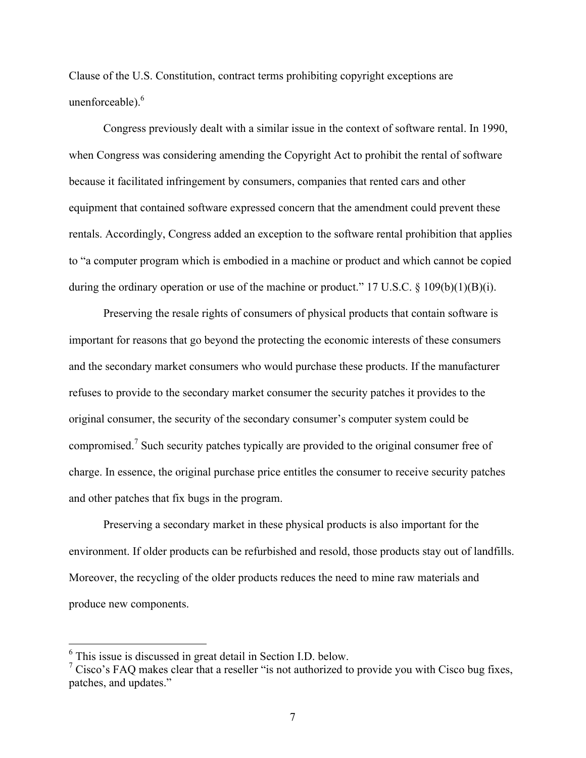Clause of the U.S. Constitution, contract terms prohibiting copyright exceptions are unenforceable). 6

Congress previously dealt with a similar issue in the context of software rental. In 1990, when Congress was considering amending the Copyright Act to prohibit the rental of software because it facilitated infringement by consumers, companies that rented cars and other equipment that contained software expressed concern that the amendment could prevent these rentals. Accordingly, Congress added an exception to the software rental prohibition that applies to "a computer program which is embodied in a machine or product and which cannot be copied during the ordinary operation or use of the machine or product." 17 U.S.C.  $\S$  109(b)(1)(B)(i).

Preserving the resale rights of consumers of physical products that contain software is important for reasons that go beyond the protecting the economic interests of these consumers and the secondary market consumers who would purchase these products. If the manufacturer refuses to provide to the secondary market consumer the security patches it provides to the original consumer, the security of the secondary consumer's computer system could be compromised.<sup>7</sup> Such security patches typically are provided to the original consumer free of charge. In essence, the original purchase price entitles the consumer to receive security patches and other patches that fix bugs in the program.

Preserving a secondary market in these physical products is also important for the environment. If older products can be refurbished and resold, those products stay out of landfills. Moreover, the recycling of the older products reduces the need to mine raw materials and produce new components.

 <sup>6</sup> This issue is discussed in great detail in Section I.D. below.

 $\frac{7}{7}$  Cisco's FAQ makes clear that a reseller "is not authorized to provide you with Cisco bug fixes, patches, and updates."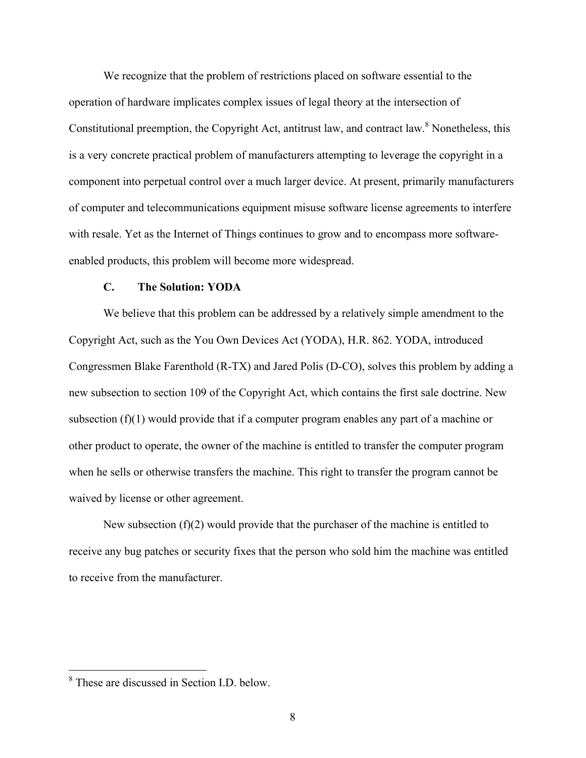We recognize that the problem of restrictions placed on software essential to the operation of hardware implicates complex issues of legal theory at the intersection of Constitutional preemption, the Copyright Act, antitrust law, and contract law.<sup>8</sup> Nonetheless, this is a very concrete practical problem of manufacturers attempting to leverage the copyright in a component into perpetual control over a much larger device. At present, primarily manufacturers of computer and telecommunications equipment misuse software license agreements to interfere with resale. Yet as the Internet of Things continues to grow and to encompass more softwareenabled products, this problem will become more widespread.

#### **C. The Solution: YODA**

We believe that this problem can be addressed by a relatively simple amendment to the Copyright Act, such as the You Own Devices Act (YODA), H.R. 862. YODA, introduced Congressmen Blake Farenthold (R-TX) and Jared Polis (D-CO), solves this problem by adding a new subsection to section 109 of the Copyright Act, which contains the first sale doctrine. New subsection  $(f)(1)$  would provide that if a computer program enables any part of a machine or other product to operate, the owner of the machine is entitled to transfer the computer program when he sells or otherwise transfers the machine. This right to transfer the program cannot be waived by license or other agreement.

New subsection (f)(2) would provide that the purchaser of the machine is entitled to receive any bug patches or security fixes that the person who sold him the machine was entitled to receive from the manufacturer.

 <sup>8</sup> These are discussed in Section I.D. below.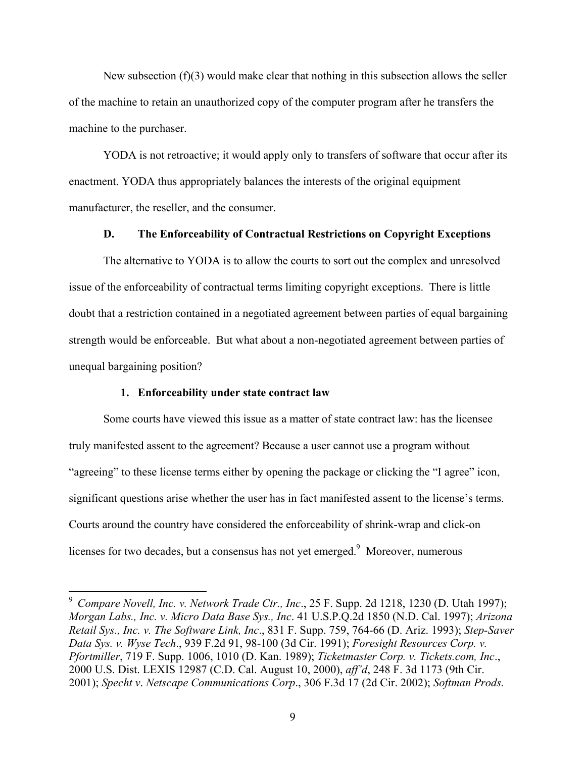New subsection  $(f)(3)$  would make clear that nothing in this subsection allows the seller of the machine to retain an unauthorized copy of the computer program after he transfers the machine to the purchaser.

YODA is not retroactive; it would apply only to transfers of software that occur after its enactment. YODA thus appropriately balances the interests of the original equipment manufacturer, the reseller, and the consumer.

### **D. The Enforceability of Contractual Restrictions on Copyright Exceptions**

The alternative to YODA is to allow the courts to sort out the complex and unresolved issue of the enforceability of contractual terms limiting copyright exceptions. There is little doubt that a restriction contained in a negotiated agreement between parties of equal bargaining strength would be enforceable. But what about a non-negotiated agreement between parties of unequal bargaining position?

### **1. Enforceability under state contract law**

Some courts have viewed this issue as a matter of state contract law: has the licensee truly manifested assent to the agreement? Because a user cannot use a program without "agreeing" to these license terms either by opening the package or clicking the "I agree" icon, significant questions arise whether the user has in fact manifested assent to the license's terms. Courts around the country have considered the enforceability of shrink-wrap and click-on licenses for two decades, but a consensus has not yet emerged.<sup>9</sup> Moreover, numerous

 <sup>9</sup>  *Compare Novell, Inc. v. Network Trade Ctr., Inc*., 25 F. Supp. 2d 1218, 1230 (D. Utah 1997); *Morgan Labs., Inc. v. Micro Data Base Sys., Inc*. 41 U.S.P.Q.2d 1850 (N.D. Cal. 1997); *Arizona Retail Sys., Inc. v. The Software Link, Inc*., 831 F. Supp. 759, 764-66 (D. Ariz. 1993); *Step-Saver Data Sys. v. Wyse Tech*., 939 F.2d 91, 98-100 (3d Cir. 1991); *Foresight Resources Corp. v. Pfortmiller*, 719 F. Supp. 1006, 1010 (D. Kan. 1989); *Ticketmaster Corp. v. Tickets.com, Inc*., 2000 U.S. Dist. LEXIS 12987 (C.D. Cal. August 10, 2000), *aff'd*, 248 F. 3d 1173 (9th Cir. 2001); *Specht v*. *Netscape Communications Corp*., 306 F.3d 17 (2d Cir. 2002); *Softman Prods.*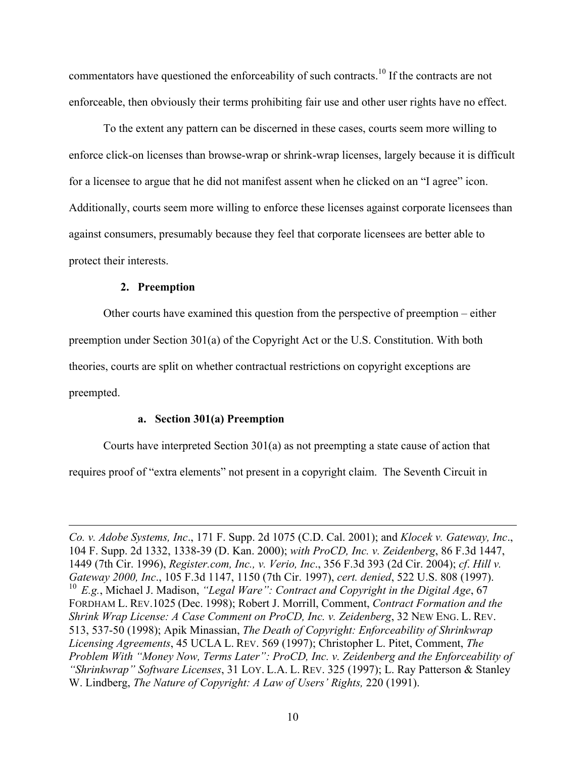commentators have questioned the enforceability of such contracts.<sup>10</sup> If the contracts are not enforceable, then obviously their terms prohibiting fair use and other user rights have no effect.

To the extent any pattern can be discerned in these cases, courts seem more willing to enforce click-on licenses than browse-wrap or shrink-wrap licenses, largely because it is difficult for a licensee to argue that he did not manifest assent when he clicked on an "I agree" icon. Additionally, courts seem more willing to enforce these licenses against corporate licensees than against consumers, presumably because they feel that corporate licensees are better able to protect their interests.

## **2. Preemption**

 $\overline{a}$ 

Other courts have examined this question from the perspective of preemption – either preemption under Section 301(a) of the Copyright Act or the U.S. Constitution. With both theories, courts are split on whether contractual restrictions on copyright exceptions are preempted.

## **a. Section 301(a) Preemption**

Courts have interpreted Section 301(a) as not preempting a state cause of action that requires proof of "extra elements" not present in a copyright claim. The Seventh Circuit in

*Co. v. Adobe Systems, Inc*., 171 F. Supp. 2d 1075 (C.D. Cal. 2001); and *Klocek v. Gateway, Inc*., 104 F. Supp. 2d 1332, 1338-39 (D. Kan. 2000); *with ProCD, Inc. v. Zeidenberg*, 86 F.3d 1447, 1449 (7th Cir. 1996), *Register.com, Inc., v. Verio, Inc*., 356 F.3d 393 (2d Cir. 2004); *cf*. *Hill v. Gateway 2000, Inc*., 105 F.3d 1147, 1150 (7th Cir. 1997), *cert. denied*, 522 U.S. 808 (1997). <sup>10</sup> *E.g.*, Michael J. Madison, *"Legal Ware": Contract and Copyright in the Digital Age*, 67 FORDHAM L. REV.1025 (Dec. 1998); Robert J. Morrill, Comment, *Contract Formation and the Shrink Wrap License: A Case Comment on ProCD, Inc. v. Zeidenberg*, 32 NEW ENG. L. REV. 513, 537-50 (1998); Apik Minassian, *The Death of Copyright: Enforceability of Shrinkwrap Licensing Agreements*, 45 UCLA L. REV. 569 (1997); Christopher L. Pitet, Comment, *The Problem With "Money Now, Terms Later": ProCD, Inc. v. Zeidenberg and the Enforceability of "Shrinkwrap" Software Licenses*, 31 LOY. L.A. L. REV. 325 (1997); L. Ray Patterson & Stanley W. Lindberg, *The Nature of Copyright: A Law of Users' Rights,* 220 (1991).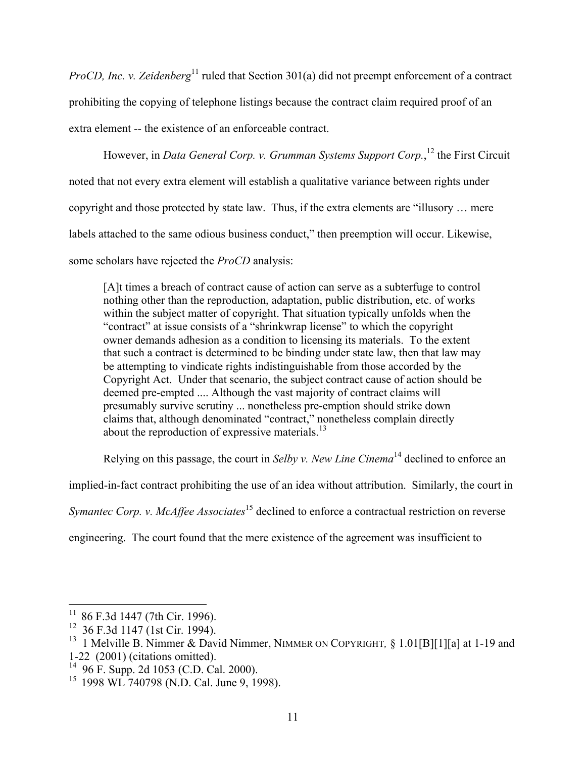*ProCD, Inc. v. Zeidenberg*<sup>11</sup> ruled that Section 301(a) did not preempt enforcement of a contract prohibiting the copying of telephone listings because the contract claim required proof of an extra element -- the existence of an enforceable contract.

However, in *Data General Corp. v. Grumman Systems Support Corp.*, <sup>12</sup> the First Circuit noted that not every extra element will establish a qualitative variance between rights under copyright and those protected by state law. Thus, if the extra elements are "illusory … mere labels attached to the same odious business conduct," then preemption will occur. Likewise, some scholars have rejected the *ProCD* analysis:

[A]t times a breach of contract cause of action can serve as a subterfuge to control nothing other than the reproduction, adaptation, public distribution, etc. of works within the subject matter of copyright. That situation typically unfolds when the "contract" at issue consists of a "shrinkwrap license" to which the copyright owner demands adhesion as a condition to licensing its materials. To the extent that such a contract is determined to be binding under state law, then that law may be attempting to vindicate rights indistinguishable from those accorded by the Copyright Act. Under that scenario, the subject contract cause of action should be deemed pre-empted .... Although the vast majority of contract claims will presumably survive scrutiny ... nonetheless pre-emption should strike down claims that, although denominated "contract," nonetheless complain directly about the reproduction of expressive materials. $^{13}$ 

Relying on this passage, the court in *Selby v. New Line Cinema*<sup>14</sup> declined to enforce an

implied-in-fact contract prohibiting the use of an idea without attribution. Similarly, the court in

*Symantec Corp. v. McAffee Associates*<sup>15</sup> declined to enforce a contractual restriction on reverse

engineering. The court found that the mere existence of the agreement was insufficient to

 $11$  86 F.3d 1447 (7th Cir. 1996).

<sup>&</sup>lt;sup>12</sup> 36 F.3d 1147 (1st Cir. 1994).

<sup>&</sup>lt;sup>13</sup> 1 Melville B. Nimmer & David Nimmer, NIMMER ON COPYRIGHT, § 1.01[B][1][a] at 1-19 and 1-22 (2001) (citations omitted).

 $14$  96 F. Supp. 2d 1053 (C.D. Cal. 2000).

<sup>15 1998</sup> WL 740798 (N.D. Cal. June 9, 1998).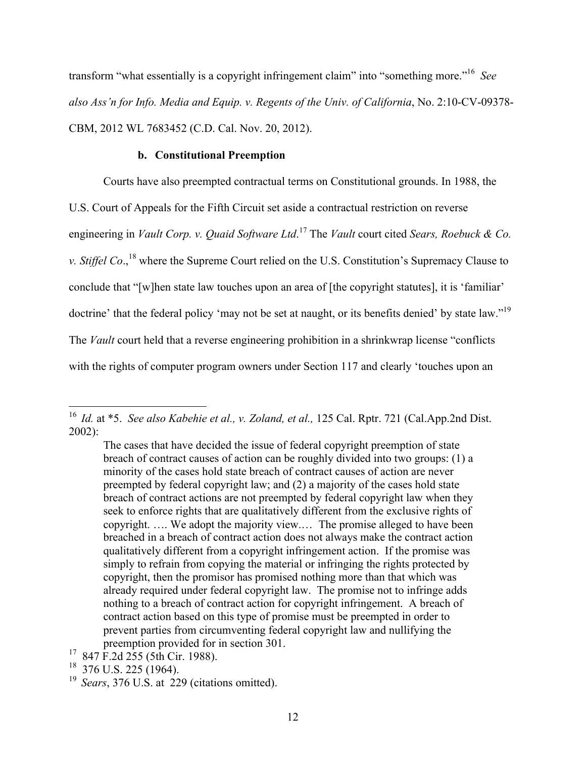transform "what essentially is a copyright infringement claim" into "something more."16 *See also Ass'n for Info. Media and Equip. v. Regents of the Univ. of California*, No. 2:10-CV-09378- CBM, 2012 WL 7683452 (C.D. Cal. Nov. 20, 2012).

## **b. Constitutional Preemption**

Courts have also preempted contractual terms on Constitutional grounds. In 1988, the U.S. Court of Appeals for the Fifth Circuit set aside a contractual restriction on reverse engineering in *Vault Corp. v. Quaid Software Ltd*. <sup>17</sup> The *Vault* court cited *Sears, Roebuck & Co. v. Stiffel Co.*,<sup>18</sup> where the Supreme Court relied on the U.S. Constitution's Supremacy Clause to conclude that "[w]hen state law touches upon an area of [the copyright statutes], it is 'familiar' doctrine' that the federal policy 'may not be set at naught, or its benefits denied' by state law."<sup>19</sup> The *Vault* court held that a reverse engineering prohibition in a shrinkwrap license "conflicts with the rights of computer program owners under Section 117 and clearly 'touches upon an

 <sup>16</sup> *Id.* at \*5. *See also Kabehie et al., v. Zoland, et al.,* 125 Cal. Rptr. 721 (Cal.App.2nd Dist. 2002):

The cases that have decided the issue of federal copyright preemption of state breach of contract causes of action can be roughly divided into two groups: (1) a minority of the cases hold state breach of contract causes of action are never preempted by federal copyright law; and (2) a majority of the cases hold state breach of contract actions are not preempted by federal copyright law when they seek to enforce rights that are qualitatively different from the exclusive rights of copyright. …. We adopt the majority view.… The promise alleged to have been breached in a breach of contract action does not always make the contract action qualitatively different from a copyright infringement action. If the promise was simply to refrain from copying the material or infringing the rights protected by copyright, then the promisor has promised nothing more than that which was already required under federal copyright law. The promise not to infringe adds nothing to a breach of contract action for copyright infringement. A breach of contract action based on this type of promise must be preempted in order to prevent parties from circumventing federal copyright law and nullifying the preemption provided for in section 301.

<sup>&</sup>lt;sup>17</sup> 847 F.2d 255 (5th Cir. 1988).

 $18$  376 U.S. 225 (1964).

<sup>19</sup> *Sears*, 376 U.S. at 229 (citations omitted).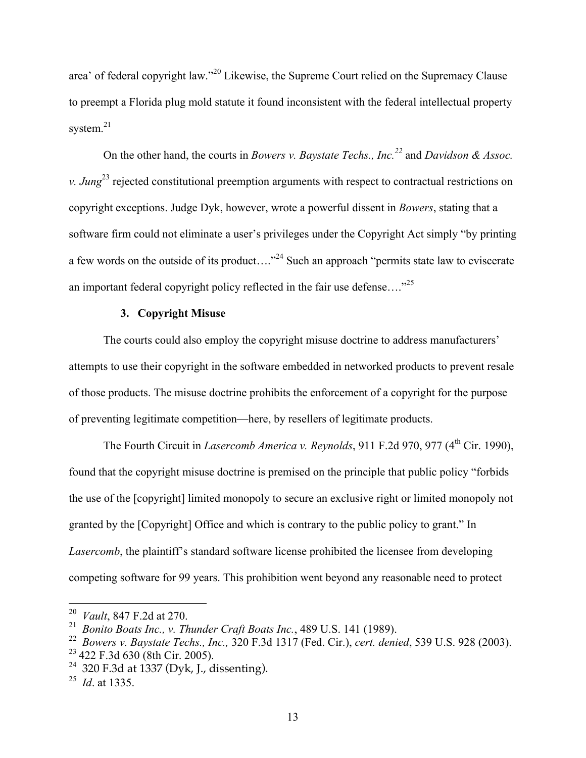area' of federal copyright law."<sup>20</sup> Likewise, the Supreme Court relied on the Supremacy Clause to preempt a Florida plug mold statute it found inconsistent with the federal intellectual property system. $21$ 

On the other hand, the courts in *Bowers v. Baystate Techs., Inc.22* and *Davidson & Assoc. v. Jung*<sup>23</sup> rejected constitutional preemption arguments with respect to contractual restrictions on copyright exceptions. Judge Dyk, however, wrote a powerful dissent in *Bowers*, stating that a software firm could not eliminate a user's privileges under the Copyright Act simply "by printing a few words on the outside of its product...."<sup>24</sup> Such an approach "permits state law to eviscerate an important federal copyright policy reflected in the fair use defense…."25

## **3. Copyright Misuse**

The courts could also employ the copyright misuse doctrine to address manufacturers' attempts to use their copyright in the software embedded in networked products to prevent resale of those products. The misuse doctrine prohibits the enforcement of a copyright for the purpose of preventing legitimate competition—here, by resellers of legitimate products.

The Fourth Circuit in *Lasercomb America v. Reynolds*, 911 F.2d 970, 977 (4<sup>th</sup> Cir. 1990), found that the copyright misuse doctrine is premised on the principle that public policy "forbids the use of the [copyright] limited monopoly to secure an exclusive right or limited monopoly not granted by the [Copyright] Office and which is contrary to the public policy to grant." In *Lasercomb*, the plaintiff's standard software license prohibited the licensee from developing competing software for 99 years. This prohibition went beyond any reasonable need to protect

 <sup>20</sup> *Vault*, 847 F.2d at 270.

<sup>21</sup> *Bonito Boats Inc., v. Thunder Craft Boats Inc.*, 489 U.S. 141 (1989).

<sup>22</sup> *Bowers v. Baystate Techs., Inc.,* 320 F.3d 1317 (Fed. Cir.), *cert. denied*, 539 U.S. 928 (2003).

 $23$  422 F.3d 630 (8th Cir. 2005).

<sup>&</sup>lt;sup>24</sup> 320 F.3d at 1337 (Dyk, J., dissenting).

<sup>25</sup> *Id*. at 1335.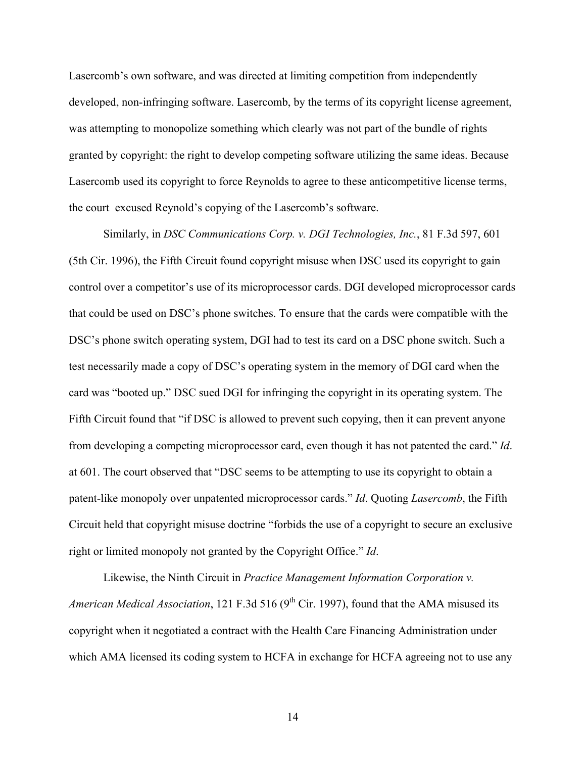Lasercomb's own software, and was directed at limiting competition from independently developed, non-infringing software. Lasercomb, by the terms of its copyright license agreement, was attempting to monopolize something which clearly was not part of the bundle of rights granted by copyright: the right to develop competing software utilizing the same ideas. Because Lasercomb used its copyright to force Reynolds to agree to these anticompetitive license terms, the court excused Reynold's copying of the Lasercomb's software.

Similarly, in *DSC Communications Corp. v. DGI Technologies, Inc.*, 81 F.3d 597, 601 (5th Cir. 1996), the Fifth Circuit found copyright misuse when DSC used its copyright to gain control over a competitor's use of its microprocessor cards. DGI developed microprocessor cards that could be used on DSC's phone switches. To ensure that the cards were compatible with the DSC's phone switch operating system, DGI had to test its card on a DSC phone switch. Such a test necessarily made a copy of DSC's operating system in the memory of DGI card when the card was "booted up." DSC sued DGI for infringing the copyright in its operating system. The Fifth Circuit found that "if DSC is allowed to prevent such copying, then it can prevent anyone from developing a competing microprocessor card, even though it has not patented the card." *Id*. at 601. The court observed that "DSC seems to be attempting to use its copyright to obtain a patent-like monopoly over unpatented microprocessor cards." *Id*. Quoting *Lasercomb*, the Fifth Circuit held that copyright misuse doctrine "forbids the use of a copyright to secure an exclusive right or limited monopoly not granted by the Copyright Office." *Id*.

Likewise, the Ninth Circuit in *Practice Management Information Corporation v. American Medical Association*, 121 F.3d 516 (9<sup>th</sup> Cir. 1997), found that the AMA misused its copyright when it negotiated a contract with the Health Care Financing Administration under which AMA licensed its coding system to HCFA in exchange for HCFA agreeing not to use any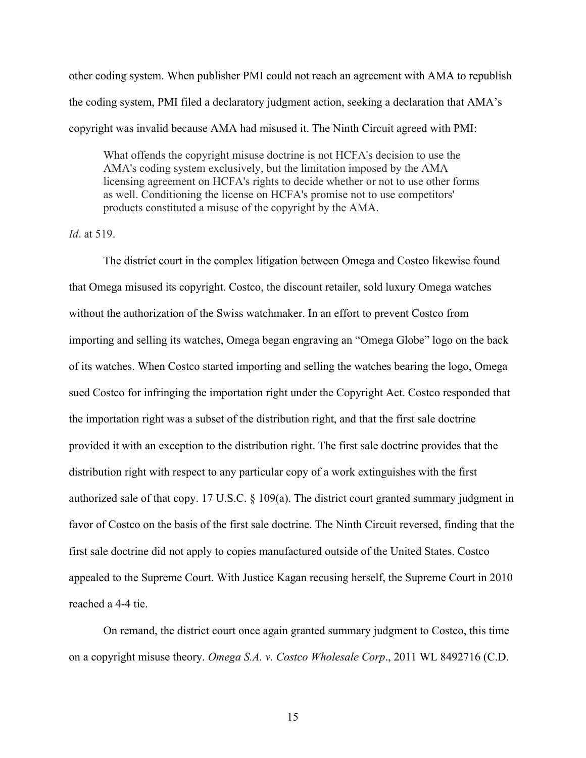other coding system. When publisher PMI could not reach an agreement with AMA to republish the coding system, PMI filed a declaratory judgment action, seeking a declaration that AMA's copyright was invalid because AMA had misused it. The Ninth Circuit agreed with PMI:

What offends the copyright misuse doctrine is not HCFA's decision to use the AMA's coding system exclusively, but the limitation imposed by the AMA licensing agreement on HCFA's rights to decide whether or not to use other forms as well. Conditioning the license on HCFA's promise not to use competitors' products constituted a misuse of the copyright by the AMA.

## *Id*. at 519.

The district court in the complex litigation between Omega and Costco likewise found that Omega misused its copyright. Costco, the discount retailer, sold luxury Omega watches without the authorization of the Swiss watchmaker. In an effort to prevent Costco from importing and selling its watches, Omega began engraving an "Omega Globe" logo on the back of its watches. When Costco started importing and selling the watches bearing the logo, Omega sued Costco for infringing the importation right under the Copyright Act. Costco responded that the importation right was a subset of the distribution right, and that the first sale doctrine provided it with an exception to the distribution right. The first sale doctrine provides that the distribution right with respect to any particular copy of a work extinguishes with the first authorized sale of that copy. 17 U.S.C. § 109(a). The district court granted summary judgment in favor of Costco on the basis of the first sale doctrine. The Ninth Circuit reversed, finding that the first sale doctrine did not apply to copies manufactured outside of the United States. Costco appealed to the Supreme Court. With Justice Kagan recusing herself, the Supreme Court in 2010 reached a 4-4 tie.

On remand, the district court once again granted summary judgment to Costco, this time on a copyright misuse theory. *Omega S.A. v. Costco Wholesale Corp*., 2011 WL 8492716 (C.D.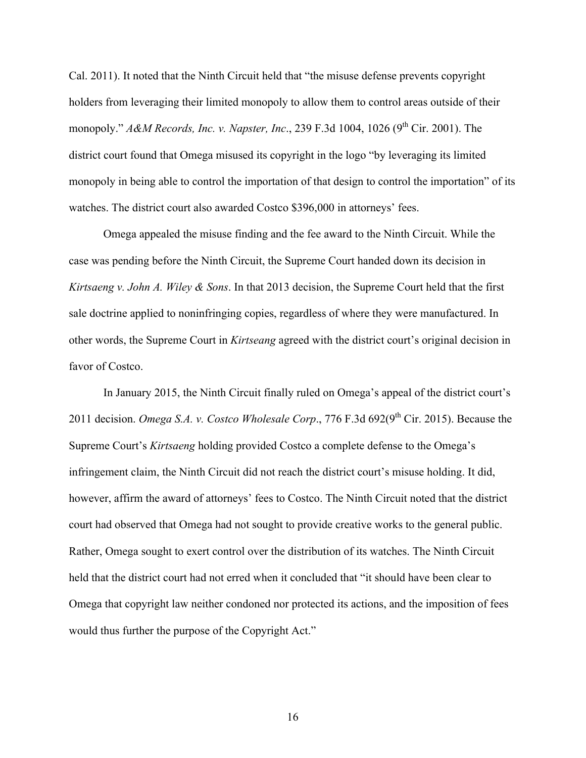Cal. 2011). It noted that the Ninth Circuit held that "the misuse defense prevents copyright holders from leveraging their limited monopoly to allow them to control areas outside of their monopoly." *A&M Records, Inc. v. Napster, Inc.*, 239 F.3d 1004, 1026 (9<sup>th</sup> Cir. 2001). The district court found that Omega misused its copyright in the logo "by leveraging its limited monopoly in being able to control the importation of that design to control the importation" of its watches. The district court also awarded Costco \$396,000 in attorneys' fees.

Omega appealed the misuse finding and the fee award to the Ninth Circuit. While the case was pending before the Ninth Circuit, the Supreme Court handed down its decision in *Kirtsaeng v. John A. Wiley & Sons*. In that 2013 decision, the Supreme Court held that the first sale doctrine applied to noninfringing copies, regardless of where they were manufactured. In other words, the Supreme Court in *Kirtseang* agreed with the district court's original decision in favor of Costco.

In January 2015, the Ninth Circuit finally ruled on Omega's appeal of the district court's 2011 decision. *Omega S.A. v. Costco Wholesale Corp.*, 776 F.3d 692(9<sup>th</sup> Cir. 2015). Because the Supreme Court's *Kirtsaeng* holding provided Costco a complete defense to the Omega's infringement claim, the Ninth Circuit did not reach the district court's misuse holding. It did, however, affirm the award of attorneys' fees to Costco. The Ninth Circuit noted that the district court had observed that Omega had not sought to provide creative works to the general public. Rather, Omega sought to exert control over the distribution of its watches. The Ninth Circuit held that the district court had not erred when it concluded that "it should have been clear to Omega that copyright law neither condoned nor protected its actions, and the imposition of fees would thus further the purpose of the Copyright Act."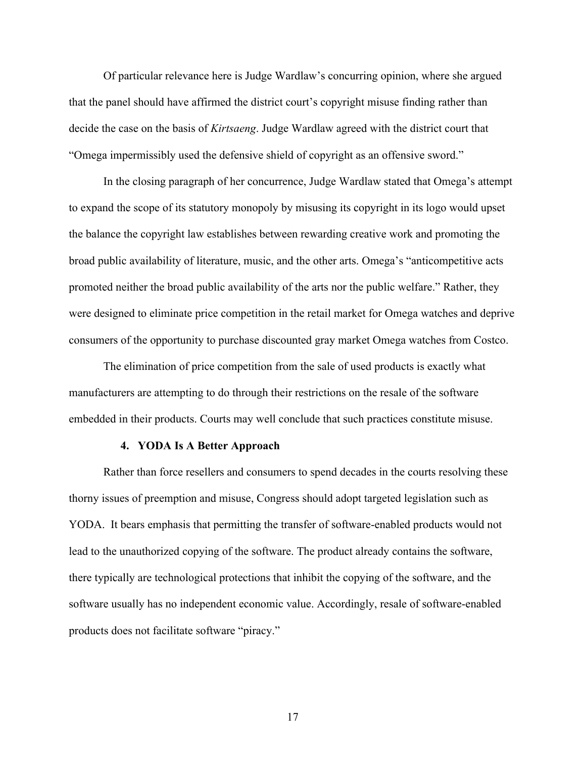Of particular relevance here is Judge Wardlaw's concurring opinion, where she argued that the panel should have affirmed the district court's copyright misuse finding rather than decide the case on the basis of *Kirtsaeng*. Judge Wardlaw agreed with the district court that "Omega impermissibly used the defensive shield of copyright as an offensive sword."

In the closing paragraph of her concurrence, Judge Wardlaw stated that Omega's attempt to expand the scope of its statutory monopoly by misusing its copyright in its logo would upset the balance the copyright law establishes between rewarding creative work and promoting the broad public availability of literature, music, and the other arts. Omega's "anticompetitive acts promoted neither the broad public availability of the arts nor the public welfare." Rather, they were designed to eliminate price competition in the retail market for Omega watches and deprive consumers of the opportunity to purchase discounted gray market Omega watches from Costco.

The elimination of price competition from the sale of used products is exactly what manufacturers are attempting to do through their restrictions on the resale of the software embedded in their products. Courts may well conclude that such practices constitute misuse.

#### **4. YODA Is A Better Approach**

Rather than force resellers and consumers to spend decades in the courts resolving these thorny issues of preemption and misuse, Congress should adopt targeted legislation such as YODA. It bears emphasis that permitting the transfer of software-enabled products would not lead to the unauthorized copying of the software. The product already contains the software, there typically are technological protections that inhibit the copying of the software, and the software usually has no independent economic value. Accordingly, resale of software-enabled products does not facilitate software "piracy."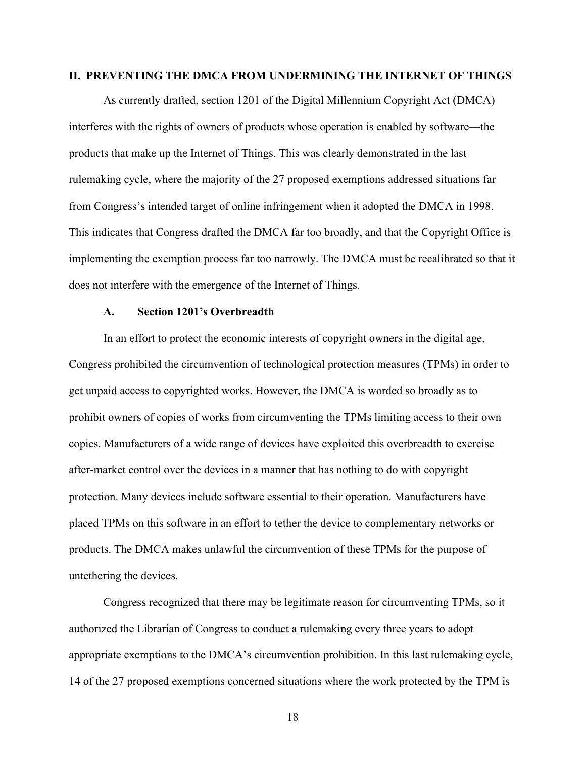## **II. PREVENTING THE DMCA FROM UNDERMINING THE INTERNET OF THINGS**

As currently drafted, section 1201 of the Digital Millennium Copyright Act (DMCA) interferes with the rights of owners of products whose operation is enabled by software—the products that make up the Internet of Things. This was clearly demonstrated in the last rulemaking cycle, where the majority of the 27 proposed exemptions addressed situations far from Congress's intended target of online infringement when it adopted the DMCA in 1998. This indicates that Congress drafted the DMCA far too broadly, and that the Copyright Office is implementing the exemption process far too narrowly. The DMCA must be recalibrated so that it does not interfere with the emergence of the Internet of Things.

### **A. Section 1201's Overbreadth**

In an effort to protect the economic interests of copyright owners in the digital age, Congress prohibited the circumvention of technological protection measures (TPMs) in order to get unpaid access to copyrighted works. However, the DMCA is worded so broadly as to prohibit owners of copies of works from circumventing the TPMs limiting access to their own copies. Manufacturers of a wide range of devices have exploited this overbreadth to exercise after-market control over the devices in a manner that has nothing to do with copyright protection. Many devices include software essential to their operation. Manufacturers have placed TPMs on this software in an effort to tether the device to complementary networks or products. The DMCA makes unlawful the circumvention of these TPMs for the purpose of untethering the devices.

Congress recognized that there may be legitimate reason for circumventing TPMs, so it authorized the Librarian of Congress to conduct a rulemaking every three years to adopt appropriate exemptions to the DMCA's circumvention prohibition. In this last rulemaking cycle, 14 of the 27 proposed exemptions concerned situations where the work protected by the TPM is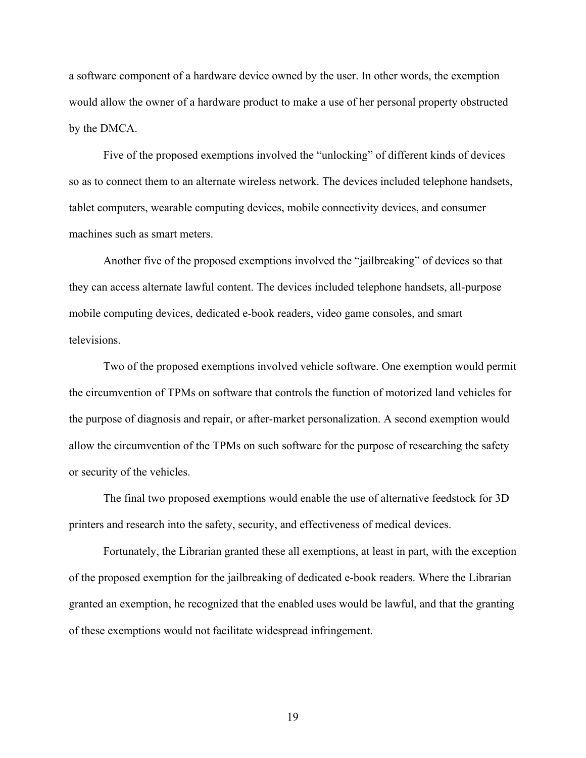a software component of a hardware device owned by the user. In other words, the exemption would allow the owner of a hardware product to make a use of her personal property obstructed by the DMCA.

Five of the proposed exemptions involved the "unlocking" of different kinds of devices so as to connect them to an alternate wireless network. The devices included telephone handsets, tablet computers, wearable computing devices, mobile connectivity devices, and consumer machines such as smart meters.

Another five of the proposed exemptions involved the "jailbreaking" of devices so that they can access alternate lawful content. The devices included telephone handsets, all-purpose mobile computing devices, dedicated e-book readers, video game consoles, and smart televisions.

Two of the proposed exemptions involved vehicle software. One exemption would permit the circumvention of TPMs on software that controls the function of motorized land vehicles for the purpose of diagnosis and repair, or after-market personalization. A second exemption would allow the circumvention of the TPMs on such software for the purpose of researching the safety or security of the vehicles.

The final two proposed exemptions would enable the use of alternative feedstock for 3D printers and research into the safety, security, and effectiveness of medical devices.

Fortunately, the Librarian granted these all exemptions, at least in part, with the exception of the proposed exemption for the jailbreaking of dedicated e-book readers. Where the Librarian granted an exemption, he recognized that the enabled uses would be lawful, and that the granting of these exemptions would not facilitate widespread infringement.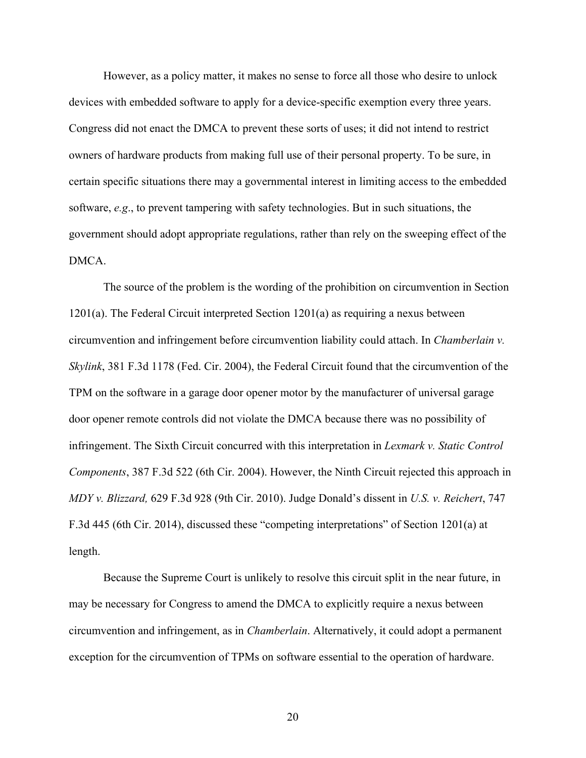However, as a policy matter, it makes no sense to force all those who desire to unlock devices with embedded software to apply for a device-specific exemption every three years. Congress did not enact the DMCA to prevent these sorts of uses; it did not intend to restrict owners of hardware products from making full use of their personal property. To be sure, in certain specific situations there may a governmental interest in limiting access to the embedded software, *e.g*., to prevent tampering with safety technologies. But in such situations, the government should adopt appropriate regulations, rather than rely on the sweeping effect of the DMCA.

The source of the problem is the wording of the prohibition on circumvention in Section 1201(a). The Federal Circuit interpreted Section 1201(a) as requiring a nexus between circumvention and infringement before circumvention liability could attach. In *Chamberlain v. Skylink*, 381 F.3d 1178 (Fed. Cir. 2004), the Federal Circuit found that the circumvention of the TPM on the software in a garage door opener motor by the manufacturer of universal garage door opener remote controls did not violate the DMCA because there was no possibility of infringement. The Sixth Circuit concurred with this interpretation in *Lexmark v. Static Control Components*, 387 F.3d 522 (6th Cir. 2004). However, the Ninth Circuit rejected this approach in *MDY v. Blizzard,* 629 F.3d 928 (9th Cir. 2010). Judge Donald's dissent in *U.S. v. Reichert*, 747 F.3d 445 (6th Cir. 2014), discussed these "competing interpretations" of Section 1201(a) at length.

Because the Supreme Court is unlikely to resolve this circuit split in the near future, in may be necessary for Congress to amend the DMCA to explicitly require a nexus between circumvention and infringement, as in *Chamberlain*. Alternatively, it could adopt a permanent exception for the circumvention of TPMs on software essential to the operation of hardware.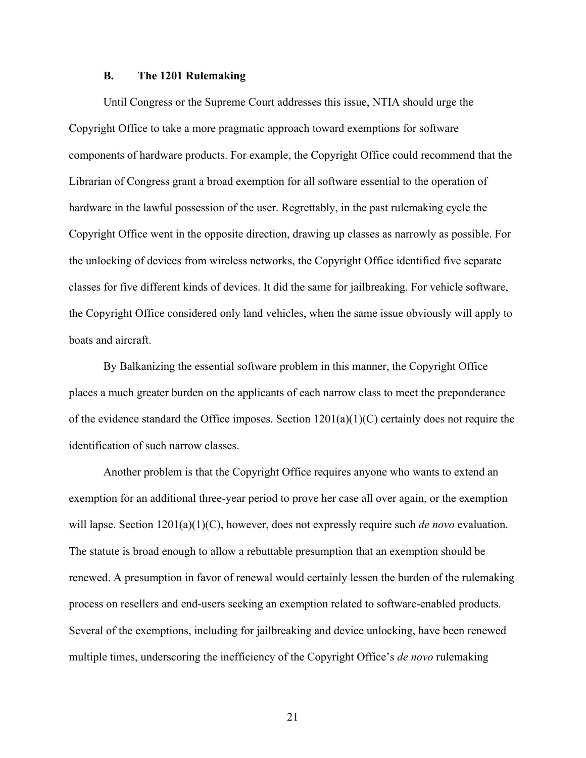## **B. The 1201 Rulemaking**

Until Congress or the Supreme Court addresses this issue, NTIA should urge the Copyright Office to take a more pragmatic approach toward exemptions for software components of hardware products. For example, the Copyright Office could recommend that the Librarian of Congress grant a broad exemption for all software essential to the operation of hardware in the lawful possession of the user. Regrettably, in the past rulemaking cycle the Copyright Office went in the opposite direction, drawing up classes as narrowly as possible. For the unlocking of devices from wireless networks, the Copyright Office identified five separate classes for five different kinds of devices. It did the same for jailbreaking. For vehicle software, the Copyright Office considered only land vehicles, when the same issue obviously will apply to boats and aircraft.

By Balkanizing the essential software problem in this manner, the Copyright Office places a much greater burden on the applicants of each narrow class to meet the preponderance of the evidence standard the Office imposes. Section 1201(a)(1)(C) certainly does not require the identification of such narrow classes.

Another problem is that the Copyright Office requires anyone who wants to extend an exemption for an additional three-year period to prove her case all over again, or the exemption will lapse. Section 1201(a)(1)(C), however, does not expressly require such *de novo* evaluation. The statute is broad enough to allow a rebuttable presumption that an exemption should be renewed. A presumption in favor of renewal would certainly lessen the burden of the rulemaking process on resellers and end-users seeking an exemption related to software-enabled products. Several of the exemptions, including for jailbreaking and device unlocking, have been renewed multiple times, underscoring the inefficiency of the Copyright Office's *de novo* rulemaking